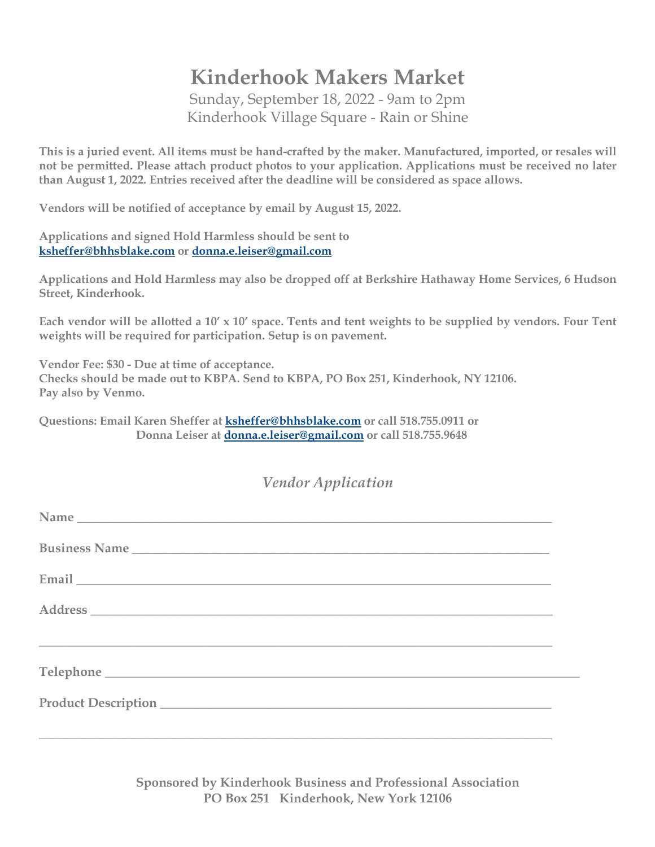## **Kinderhook Makers Market**

Sunday, September 18, 2022 - 9am to 2pm Kinderhook Village Square - Rain or Shine

**This is a juried event. All items must be hand-crafted by the maker. Manufactured, imported, or resales will not be permitted. Please attach product photos to your application. Applications must be received no later than August 1, 2022. Entries received after the deadline will be considered as space allows.** 

**Vendors will be notified of acceptance by email by August 15, 2022.**

**Applications and signed Hold Harmless should be sent to ksheffer@bhhsblake.com or donna.e.leiser@gmail.com**

**Applications and Hold Harmless may also be dropped off at Berkshire Hathaway Home Services, 6 Hudson Street, Kinderhook.**

**Each vendor will be allotted a 10' x 10' space. Tents and tent weights to be supplied by vendors. Four Tent weights will be required for participation. Setup is on pavement.**

**Vendor Fee: \$30 - Due at time of acceptance. Checks should be made out to KBPA. Send to KBPA, PO Box 251, Kinderhook, NY 12106. Pay also by Venmo.**

**Questions: Email Karen Sheffer at ksheffer@bhhsblake.com or call 518.755.0911 or Donna Leiser at donna.e.leiser@gmail.com or call 518.755.9648**

## *Vendor Application*

| <b>,这些人就是一个人的人,我们也不能在这个人的人,我们也不能在这个人的人,我们也不能在这个人的人,我们也不能在这个人的人,我们也不能在这个人的人,</b> |  |
|---------------------------------------------------------------------------------|--|
|                                                                                 |  |
|                                                                                 |  |
|                                                                                 |  |

**Sponsored by Kinderhook Business and Professional Association PO Box 251 Kinderhook, New York 12106**